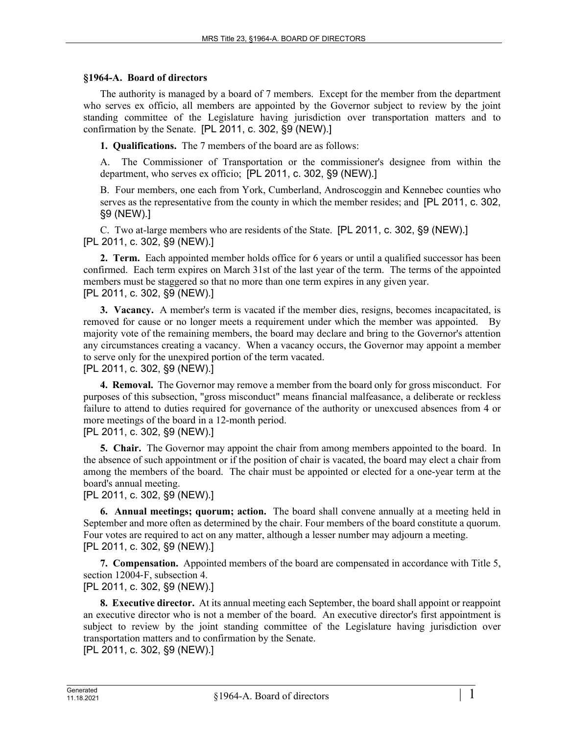## **§1964-A. Board of directors**

The authority is managed by a board of 7 members. Except for the member from the department who serves ex officio, all members are appointed by the Governor subject to review by the joint standing committee of the Legislature having jurisdiction over transportation matters and to confirmation by the Senate. [PL 2011, c. 302, §9 (NEW).]

**1. Qualifications.** The 7 members of the board are as follows:

A. The Commissioner of Transportation or the commissioner's designee from within the department, who serves ex officio; [PL 2011, c. 302, §9 (NEW).]

B. Four members, one each from York, Cumberland, Androscoggin and Kennebec counties who serves as the representative from the county in which the member resides; and [PL 2011, c. 302, §9 (NEW).]

C. Two at-large members who are residents of the State. [PL 2011, c. 302, §9 (NEW).] [PL 2011, c. 302, §9 (NEW).]

**2. Term.** Each appointed member holds office for 6 years or until a qualified successor has been confirmed. Each term expires on March 31st of the last year of the term. The terms of the appointed members must be staggered so that no more than one term expires in any given year. [PL 2011, c. 302, §9 (NEW).]

**3. Vacancy.** A member's term is vacated if the member dies, resigns, becomes incapacitated, is removed for cause or no longer meets a requirement under which the member was appointed. By majority vote of the remaining members, the board may declare and bring to the Governor's attention any circumstances creating a vacancy. When a vacancy occurs, the Governor may appoint a member to serve only for the unexpired portion of the term vacated. [PL 2011, c. 302, §9 (NEW).]

**4. Removal.** The Governor may remove a member from the board only for gross misconduct. For purposes of this subsection, "gross misconduct" means financial malfeasance, a deliberate or reckless failure to attend to duties required for governance of the authority or unexcused absences from 4 or more meetings of the board in a 12-month period.

[PL 2011, c. 302, §9 (NEW).]

**5. Chair.** The Governor may appoint the chair from among members appointed to the board. In the absence of such appointment or if the position of chair is vacated, the board may elect a chair from among the members of the board. The chair must be appointed or elected for a one-year term at the board's annual meeting.

[PL 2011, c. 302, §9 (NEW).]

**6. Annual meetings; quorum; action.** The board shall convene annually at a meeting held in September and more often as determined by the chair. Four members of the board constitute a quorum. Four votes are required to act on any matter, although a lesser number may adjourn a meeting. [PL 2011, c. 302, §9 (NEW).]

**7. Compensation.** Appointed members of the board are compensated in accordance with Title 5, section 12004-F, subsection 4.

[PL 2011, c. 302, §9 (NEW).]

**8. Executive director.** At its annual meeting each September, the board shall appoint or reappoint an executive director who is not a member of the board. An executive director's first appointment is subject to review by the joint standing committee of the Legislature having jurisdiction over transportation matters and to confirmation by the Senate.

[PL 2011, c. 302, §9 (NEW).]